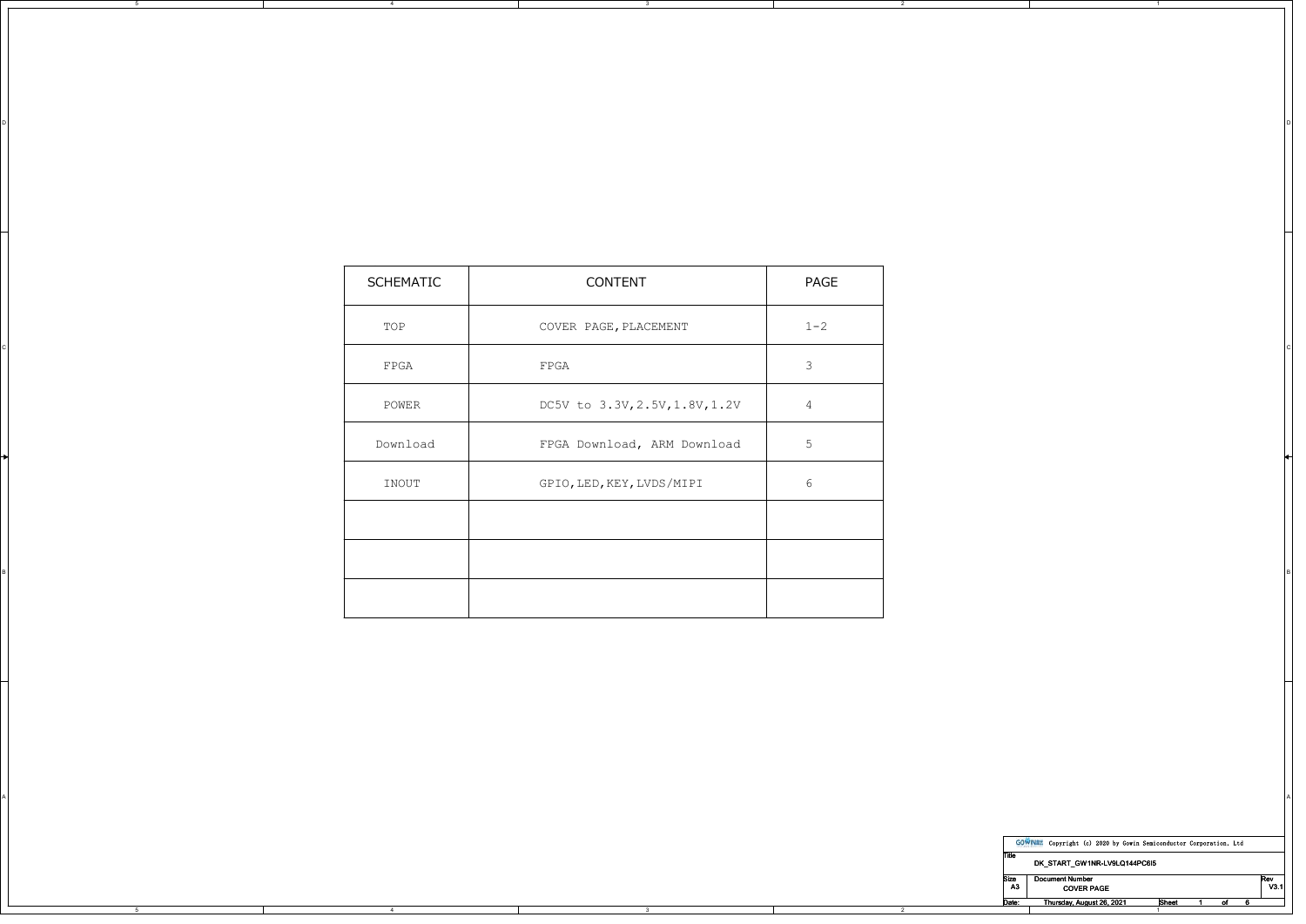| SCHEMATIC    | CONTENT                        | PAGE           |
|--------------|--------------------------------|----------------|
| TOP          | COVER PAGE, PLACEMENT          | $1 - 2$        |
| ${\tt FPGA}$ | FPGA                           | $\mathbf{3}$   |
| POWER        | DC5V to 3.3V, 2.5V, 1.8V, 1.2V | $\overline{4}$ |
| Download     | FPGA Download, ARM Download    | 5 <sup>5</sup> |
| INOUT        | GPIO, LED, KEY, LVDS/MIPI      | 6              |
|              |                                |                |
|              |                                |                |
|              |                                |                |

A POSTAGE AND THE CONTRACTOR OF A CONTRACTOR CONTRACTOR OF A CONTRACTOR OF A CONTRACTOR OF A CONTRACTOR OF A CO

3

on a construction of the construction of the construction of the construction of the construction of the construction of the construction of the construction of the construction of the construction of the construction of t

5

4

|            | <b>GOWINEE</b> | Copyright (c) 2020 by Gowin Semiconductor Corporation, Ltd |                   |  |       |    |             |
|------------|----------------|------------------------------------------------------------|-------------------|--|-------|----|-------------|
| Title      |                | DK START GW1NR-LV9LQ144PC6I5                               |                   |  |       |    |             |
| Size<br>A3 |                | <b>Document Number</b>                                     | <b>COVER PAGE</b> |  |       |    | Rev<br>V3.1 |
| Date:      |                | Thursday, August 26, 2021                                  |                   |  | Sheet | 01 |             |

1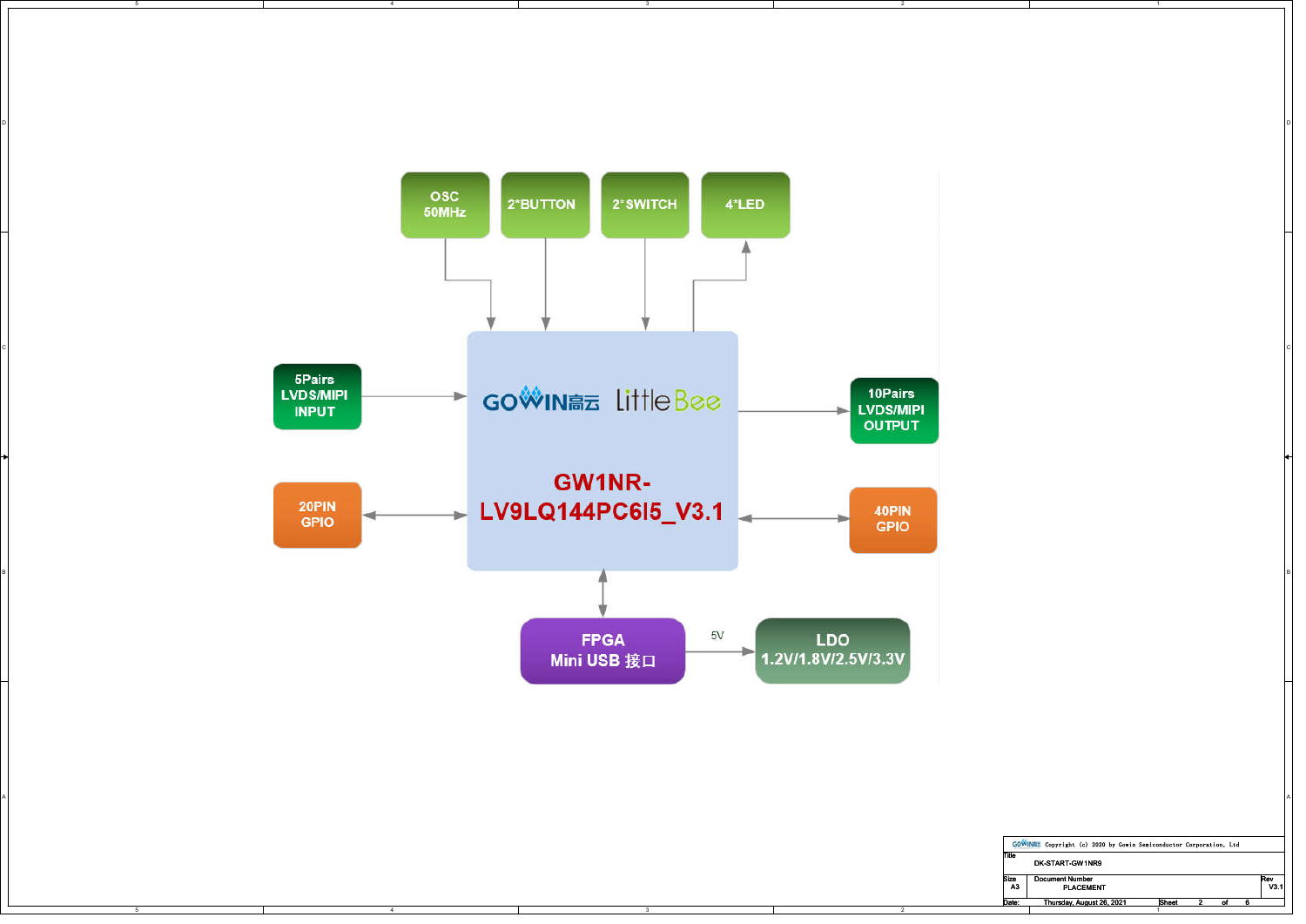

2

1

Date: Thursday, August 26, 2021 Sheet 2 of 6

3

5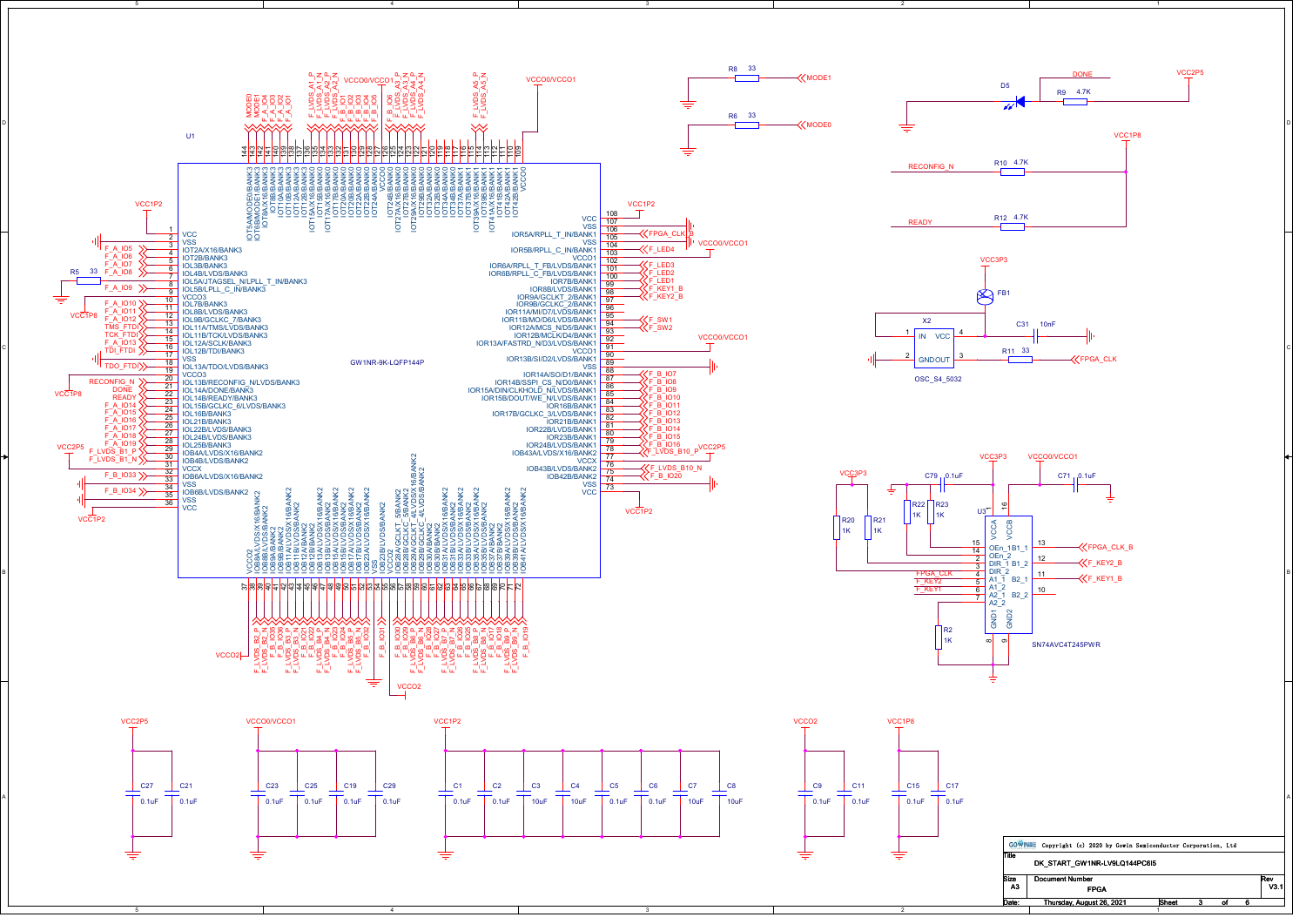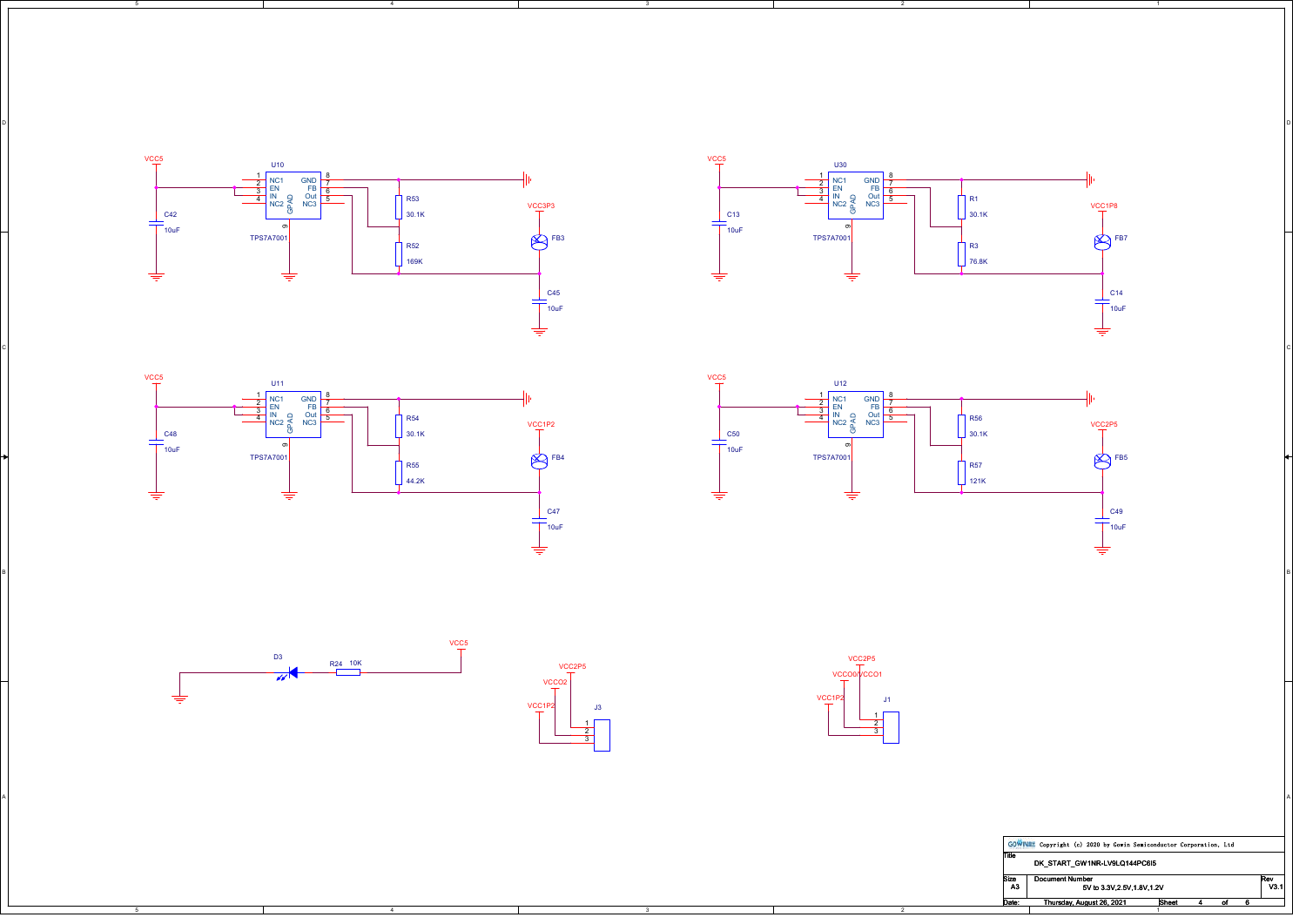









5



3

A POSTAGE AND THE CONTRACTOR OF A CONTRACTOR CONTRACTOR OF A CONTRACTOR OF A CONTRACTOR OF A CONTRACTOR OF A CO

3

on a construction of the construction of the construction of the construction of the construction of the construction of the construction of the construction of the construction of the construction of the construction of t

CIL AND A CONTROL CONTROL CONTROL CONTROL CONTROL CONTROL CONTROL CONTROL CONTROL CONTROL CONTROL CONTROL CONTROL CONTROL CONTROL CONTROL CONTROL CONTROL CONTROL CONTROL CONTROL CONTROL CONTROL CONTROL CONTROL CONTROL CONT



2

|            | GOWINEE Copyright (c) 2020 by Gowin Semiconductor Corporation, Ltd |  |  |  |  |  |
|------------|--------------------------------------------------------------------|--|--|--|--|--|
| Title      | DK START GW1NR-LV9LQ144PC6I5                                       |  |  |  |  |  |
| Size<br>А3 | <b>Document Number</b><br>5V to 3.3V.2.5V.1.8V.1.2V                |  |  |  |  |  |
| Date:      | <b>Sheet</b><br>Thursday, August 26, 2021                          |  |  |  |  |  |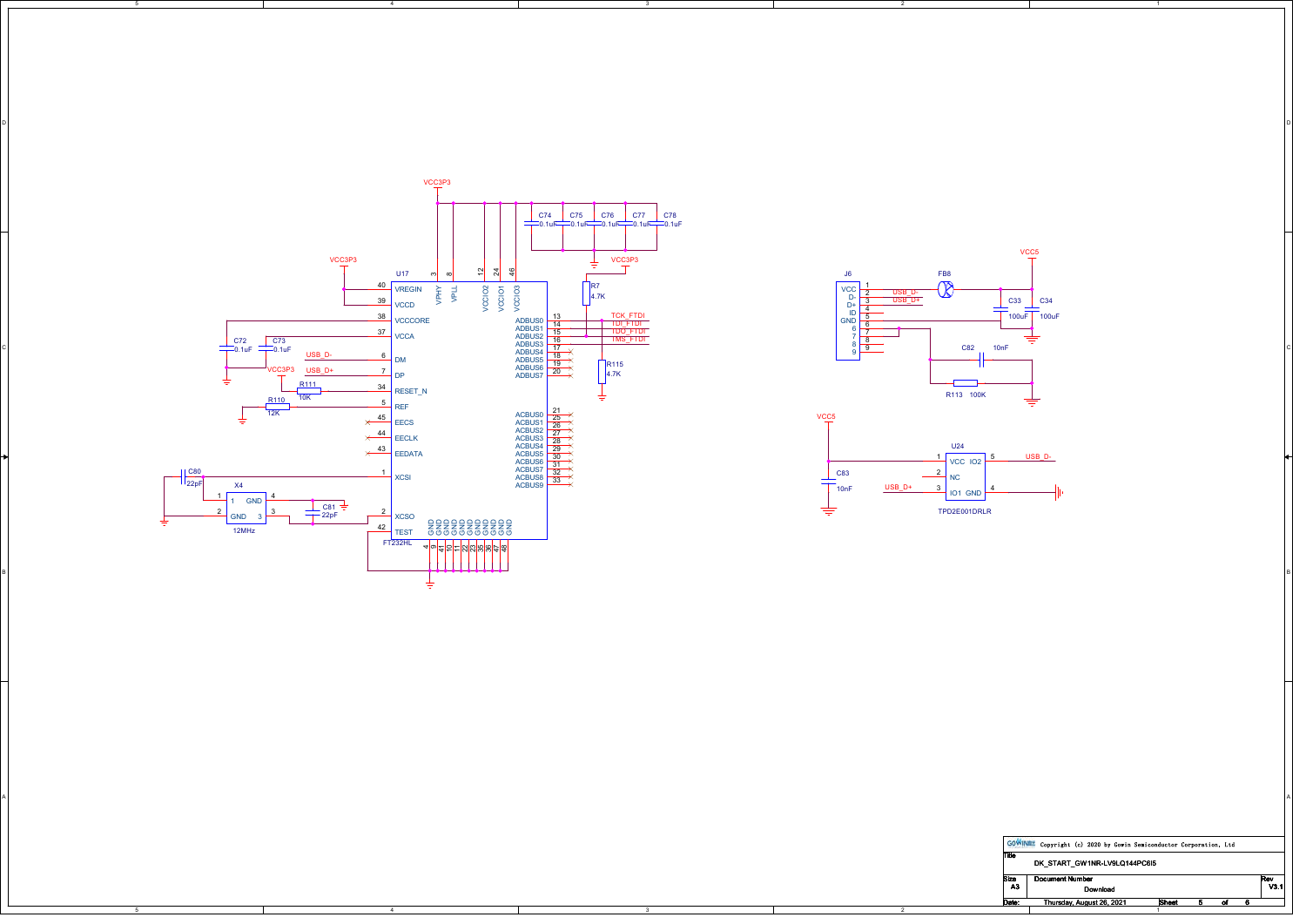

on a construction of the construction of the construction of the construction of the construction of the construction of the construction of the construction of the construction of the construction of the construction of t

3

A POSTAGE AND THE CONTRACTOR OF A CONTRACTOR CONTRACTOR OF A CONTRACTOR OF A CONTRACTOR OF A CONTRACTOR OF A CO

4

5